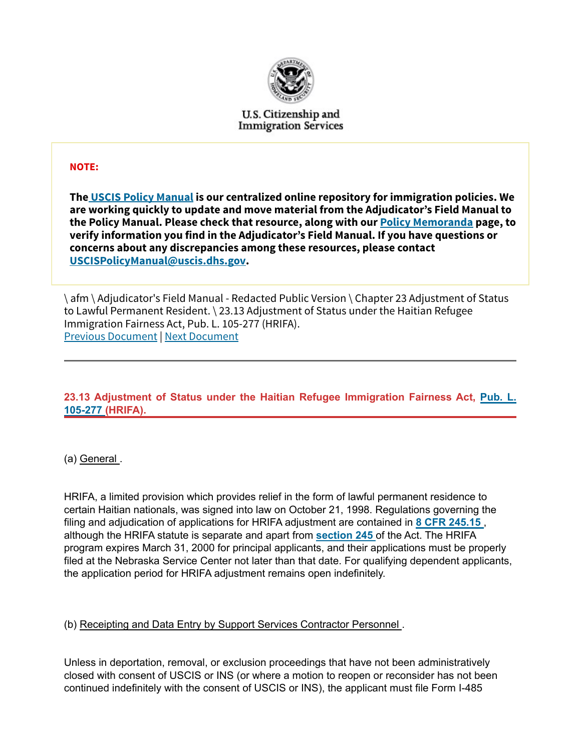

U.S. Citizenship and **Immigration Services** 

### NOTE:

The USCIS Policy Manual is our centralized online repository for immigration policies. We are working quickly to update and move material from the Adjudicator's Field Manual to the Policy Manual. Please check that resource, along with our Policy Memoranda page, to verify information you find in the Adjudicator's Field Manual. If you have questions or concerns about any discrepancies among these resources, please contact USCISPolicyManual@uscis.dhs.gov.

\ afm \ Adjudicator's Field Manual - Redacted Public Version \ Chapter 23 Adjustment of Status to Lawful Permanent Resident. \ 23.13 Adjustment of Status under the Haitian Refugee Immigration Fairness Act, Pub. L. 105-277 (HRIFA). Previous Document | Next Document

# 23.13 Adjustment of Status under the Haitian Refugee Immigration Fairness Act, Pub. L. 105-277 (HRIFA).

(a) General .

HRIFA, a limited provision which provides relief in the form of lawful permanent residence to certain Haitian nationals, was signed into law on October 21, 1998. Regulations governing the filing and adjudication of applications for HRIFA adjustment are contained in  $8$  CFR 245.15, although the HRIFA statute is separate and apart from section 245 of the Act. The HRIFA program expires March 31, 2000 for principal applicants, and their applications must be properly filed at the Nebraska Service Center not later than that date. For qualifying dependent applicants, the application period for HRIFA adjustment remains open indefinitely.

## (b) Receipting and Data Entry by Support Services Contractor Personnel .

Unless in deportation, removal, or exclusion proceedings that have not been administratively closed with consent of USCIS or INS (or where a motion to reopen or reconsider has not been continued indefinitely with the consent of USCIS or INS), the applicant must file Form I-485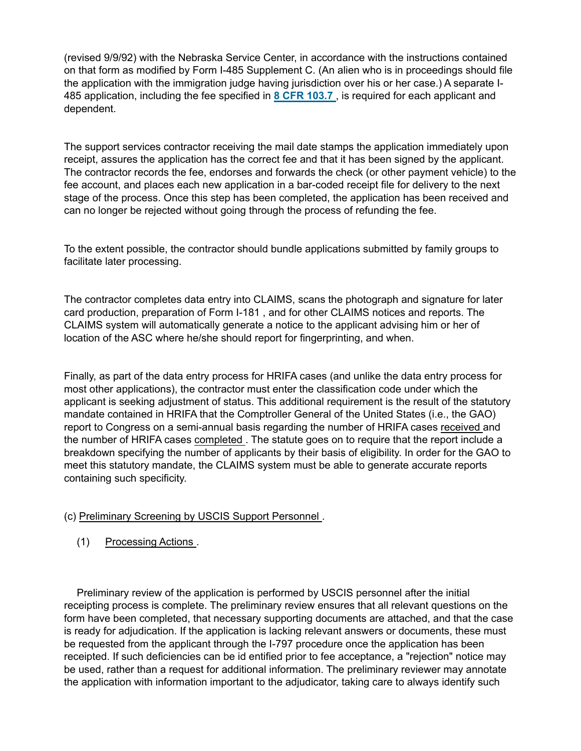(revised 9/9/92) with the Nebraska Service Center, in accordance with the instructions contained on that form as modified by Form I-485 Supplement C. (An alien who is in proceedings should file the application with the immigration judge having jurisdiction over his or her case.) A separate I-485 application, including the fee specified in 8 CFR 103.7, is required for each applicant and dependent.

The support services contractor receiving the mail date stamps the application immediately upon receipt, assures the application has the correct fee and that it has been signed by the applicant. The contractor records the fee, endorses and forwards the check (or other payment vehicle) to the fee account, and places each new application in a bar-coded receipt file for delivery to the next stage of the process. Once this step has been completed, the application has been received and can no longer be rejected without going through the process of refunding the fee.

To the extent possible, the contractor should bundle applications submitted by family groups to facilitate later processing.

The contractor completes data entry into CLAIMS, scans the photograph and signature for later card production, preparation of Form I-181 , and for other CLAIMS notices and reports. The CLAIMS system will automatically generate a notice to the applicant advising him or her of location of the ASC where he/she should report for fingerprinting, and when.

Finally, as part of the data entry process for HRIFA cases (and unlike the data entry process for most other applications), the contractor must enter the classification code under which the applicant is seeking adjustment of status. This additional requirement is the result of the statutory mandate contained in HRIFA that the Comptroller General of the United States (i.e., the GAO) report to Congress on a semi-annual basis regarding the number of HRIFA cases received and the number of HRIFA cases completed . The statute goes on to require that the report include a breakdown specifying the number of applicants by their basis of eligibility. In order for the GAO to meet this statutory mandate, the CLAIMS system must be able to generate accurate reports containing such specificity.

## (c) Preliminary Screening by USCIS Support Personnel .

(1) Processing Actions .

Preliminary review of the application is performed by USCIS personnel after the initial receipting process is complete. The preliminary review ensures that all relevant questions on the form have been completed, that necessary supporting documents are attached, and that the case is ready for adjudication. If the application is lacking relevant answers or documents, these must be requested from the applicant through the I-797 procedure once the application has been receipted. If such deficiencies can be id entified prior to fee acceptance, a "rejection" notice may be used, rather than a request for additional information. The preliminary reviewer may annotate the application with information important to the adjudicator, taking care to always identify such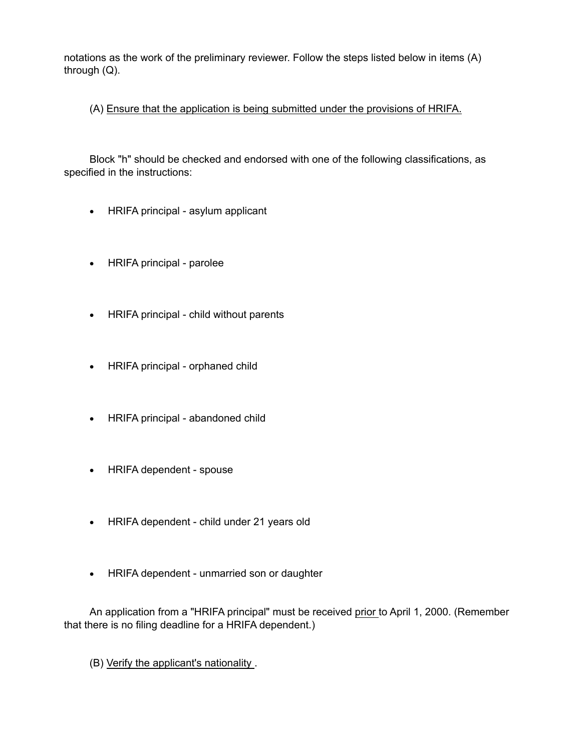notations as the work of the preliminary reviewer. Follow the steps listed below in items (A) through (Q).

(A) Ensure that the application is being submitted under the provisions of HRIFA.

Block "h" should be checked and endorsed with one of the following classifications, as specified in the instructions:

- · HRIFA principal asylum applicant
- · HRIFA principal parolee
- · HRIFA principal child without parents
- · HRIFA principal orphaned child
- · HRIFA principal abandoned child
- · HRIFA dependent spouse
- · HRIFA dependent child under 21 years old
- · HRIFA dependent unmarried son or daughter

An application from a "HRIFA principal" must be received prior to April 1, 2000. (Remember that there is no filing deadline for a HRIFA dependent.)

(B) Verify the applicant's nationality .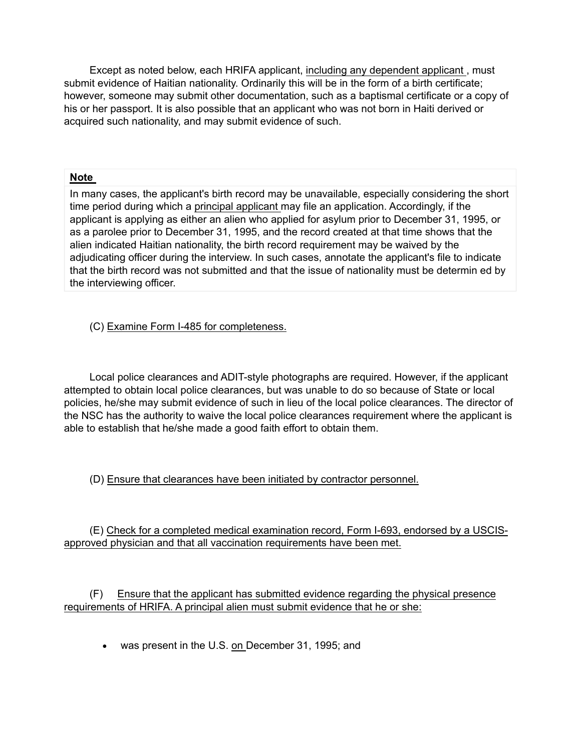Except as noted below, each HRIFA applicant, including any dependent applicant , must submit evidence of Haitian nationality. Ordinarily this will be in the form of a birth certificate; however, someone may submit other documentation, such as a baptismal certificate or a copy of his or her passport. It is also possible that an applicant who was not born in Haiti derived or acquired such nationality, and may submit evidence of such.

#### Note

In many cases, the applicant's birth record may be unavailable, especially considering the short time period during which a principal applicant may file an application. Accordingly, if the applicant is applying as either an alien who applied for asylum prior to December 31, 1995, or as a parolee prior to December 31, 1995, and the record created at that time shows that the alien indicated Haitian nationality, the birth record requirement may be waived by the adjudicating officer during the interview. In such cases, annotate the applicant's file to indicate that the birth record was not submitted and that the issue of nationality must be determin ed by the interviewing officer.

(C) Examine Form I-485 for completeness.

Local police clearances and ADIT-style photographs are required. However, if the applicant attempted to obtain local police clearances, but was unable to do so because of State or local policies, he/she may submit evidence of such in lieu of the local police clearances. The director of the NSC has the authority to waive the local police clearances requirement where the applicant is able to establish that he/she made a good faith effort to obtain them.

(D) Ensure that clearances have been initiated by contractor personnel.

(E) Check for a completed medical examination record, Form I-693, endorsed by a USCISapproved physician and that all vaccination requirements have been met.

(F) Ensure that the applicant has submitted evidence regarding the physical presence requirements of HRIFA. A principal alien must submit evidence that he or she:

· was present in the U.S. on December 31, 1995; and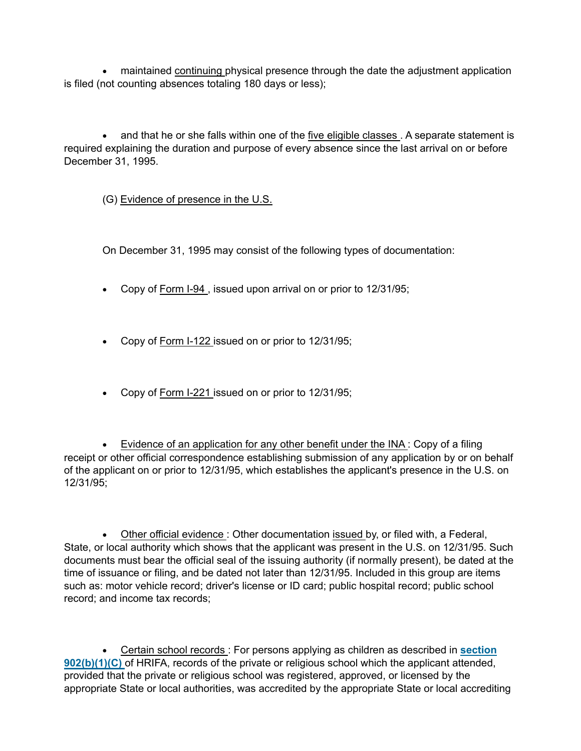• maintained continuing physical presence through the date the adjustment application is filed (not counting absences totaling 180 days or less);

· and that he or she falls within one of the five eligible classes . A separate statement is required explaining the duration and purpose of every absence since the last arrival on or before December 31, 1995.

(G) Evidence of presence in the U.S.

On December 31, 1995 may consist of the following types of documentation:

- · Copy of Form I-94 , issued upon arrival on or prior to 12/31/95;
- · Copy of Form I-122 issued on or prior to 12/31/95;
- · Copy of Form I-221 issued on or prior to 12/31/95;

· Evidence of an application for any other benefit under the INA : Copy of a filing receipt or other official correspondence establishing submission of any application by or on behalf of the applicant on or prior to 12/31/95, which establishes the applicant's presence in the U.S. on 12/31/95;

· Other official evidence : Other documentation issued by, or filed with, a Federal, State, or local authority which shows that the applicant was present in the U.S. on 12/31/95. Such documents must bear the official seal of the issuing authority (if normally present), be dated at the time of issuance or filing, and be dated not later than 12/31/95. Included in this group are items such as: motor vehicle record; driver's license or ID card; public hospital record; public school record; and income tax records;

· Certain school records : For persons applying as children as described in section 902(b)(1)(C) of HRIFA, records of the private or religious school which the applicant attended, provided that the private or religious school was registered, approved, or licensed by the appropriate State or local authorities, was accredited by the appropriate State or local accrediting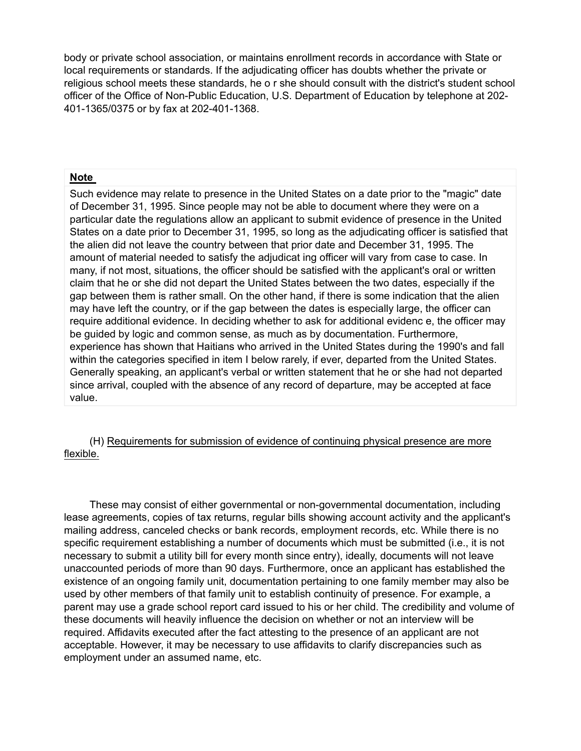body or private school association, or maintains enrollment records in accordance with State or local requirements or standards. If the adjudicating officer has doubts whether the private or religious school meets these standards, he o r she should consult with the district's student school officer of the Office of Non-Public Education, U.S. Department of Education by telephone at 202- 401-1365/0375 or by fax at 202-401-1368.

#### Note

Such evidence may relate to presence in the United States on a date prior to the "magic" date of December 31, 1995. Since people may not be able to document where they were on a particular date the regulations allow an applicant to submit evidence of presence in the United States on a date prior to December 31, 1995, so long as the adjudicating officer is satisfied that the alien did not leave the country between that prior date and December 31, 1995. The amount of material needed to satisfy the adjudicat ing officer will vary from case to case. In many, if not most, situations, the officer should be satisfied with the applicant's oral or written claim that he or she did not depart the United States between the two dates, especially if the gap between them is rather small. On the other hand, if there is some indication that the alien may have left the country, or if the gap between the dates is especially large, the officer can require additional evidence. In deciding whether to ask for additional evidenc e, the officer may be guided by logic and common sense, as much as by documentation. Furthermore, experience has shown that Haitians who arrived in the United States during the 1990's and fall within the categories specified in item I below rarely, if ever, departed from the United States. Generally speaking, an applicant's verbal or written statement that he or she had not departed since arrival, coupled with the absence of any record of departure, may be accepted at face value.

(H) Requirements for submission of evidence of continuing physical presence are more flexible.

These may consist of either governmental or non-governmental documentation, including lease agreements, copies of tax returns, regular bills showing account activity and the applicant's mailing address, canceled checks or bank records, employment records, etc. While there is no specific requirement establishing a number of documents which must be submitted (i.e., it is not necessary to submit a utility bill for every month since entry), ideally, documents will not leave unaccounted periods of more than 90 days. Furthermore, once an applicant has established the existence of an ongoing family unit, documentation pertaining to one family member may also be used by other members of that family unit to establish continuity of presence. For example, a parent may use a grade school report card issued to his or her child. The credibility and volume of these documents will heavily influence the decision on whether or not an interview will be required. Affidavits executed after the fact attesting to the presence of an applicant are not acceptable. However, it may be necessary to use affidavits to clarify discrepancies such as employment under an assumed name, etc.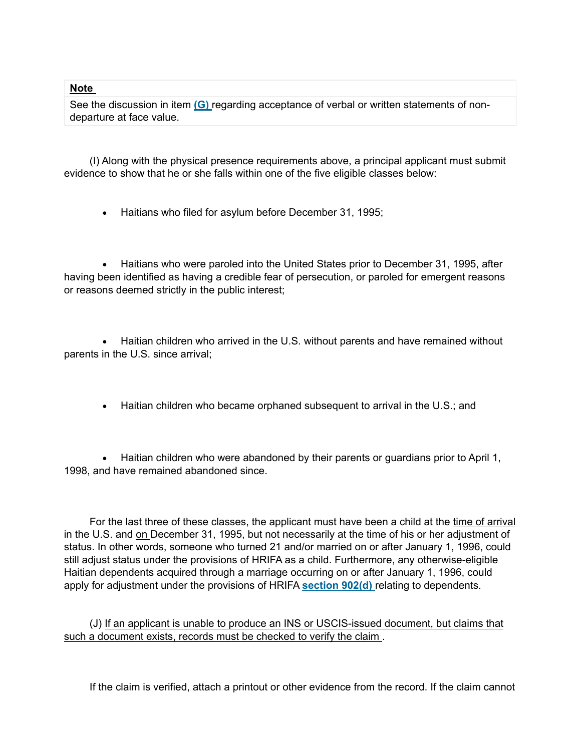Note

See the discussion in item (G) regarding acceptance of verbal or written statements of nondeparture at face value.

(I) Along with the physical presence requirements above, a principal applicant must submit evidence to show that he or she falls within one of the five eligible classes below:

· Haitians who filed for asylum before December 31, 1995;

· Haitians who were paroled into the United States prior to December 31, 1995, after having been identified as having a credible fear of persecution, or paroled for emergent reasons or reasons deemed strictly in the public interest;

· Haitian children who arrived in the U.S. without parents and have remained without parents in the U.S. since arrival;

· Haitian children who became orphaned subsequent to arrival in the U.S.; and

· Haitian children who were abandoned by their parents or guardians prior to April 1, 1998, and have remained abandoned since.

For the last three of these classes, the applicant must have been a child at the time of arrival in the U.S. and on December 31, 1995, but not necessarily at the time of his or her adjustment of status. In other words, someone who turned 21 and/or married on or after January 1, 1996, could still adjust status under the provisions of HRIFA as a child. Furthermore, any otherwise-eligible Haitian dependents acquired through a marriage occurring on or after January 1, 1996, could apply for adjustment under the provisions of HRIFA section 902(d) relating to dependents.

(J) If an applicant is unable to produce an INS or USCIS-issued document, but claims that such a document exists, records must be checked to verify the claim .

If the claim is verified, attach a printout or other evidence from the record. If the claim cannot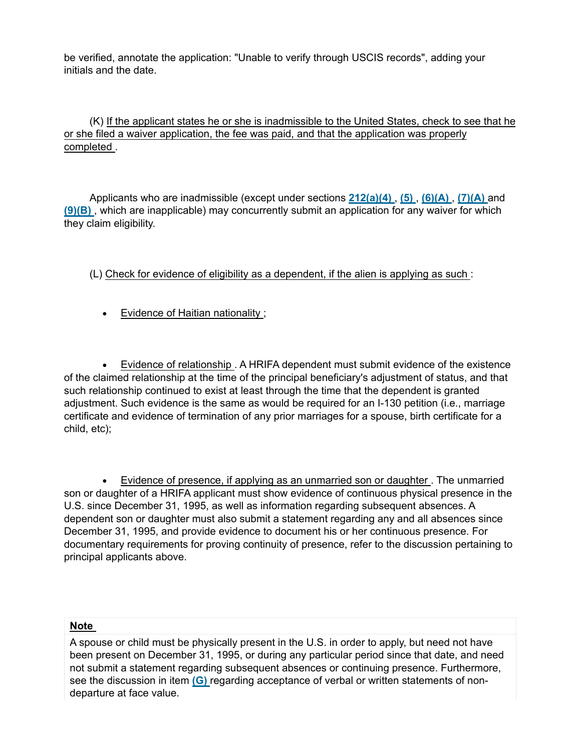be verified, annotate the application: "Unable to verify through USCIS records", adding your initials and the date.

(K) If the applicant states he or she is inadmissible to the United States, check to see that he or she filed a waiver application, the fee was paid, and that the application was properly completed .

Applicants who are inadmissible (except under sections 212(a)(4), (5), (6)(A), (7)(A) and (9)(B) , which are inapplicable) may concurrently submit an application for any waiver for which they claim eligibility.

(L) Check for evidence of eligibility as a dependent, if the alien is applying as such :

· Evidence of Haitian nationality ;

· Evidence of relationship . A HRIFA dependent must submit evidence of the existence of the claimed relationship at the time of the principal beneficiary's adjustment of status, and that such relationship continued to exist at least through the time that the dependent is granted adjustment. Such evidence is the same as would be required for an I-130 petition (i.e., marriage certificate and evidence of termination of any prior marriages for a spouse, birth certificate for a child, etc);

· Evidence of presence, if applying as an unmarried son or daughter . The unmarried son or daughter of a HRIFA applicant must show evidence of continuous physical presence in the U.S. since December 31, 1995, as well as information regarding subsequent absences. A dependent son or daughter must also submit a statement regarding any and all absences since December 31, 1995, and provide evidence to document his or her continuous presence. For documentary requirements for proving continuity of presence, refer to the discussion pertaining to principal applicants above.

## Note

A spouse or child must be physically present in the U.S. in order to apply, but need not have been present on December 31, 1995, or during any particular period since that date, and need not submit a statement regarding subsequent absences or continuing presence. Furthermore, see the discussion in item (G) regarding acceptance of verbal or written statements of nondeparture at face value.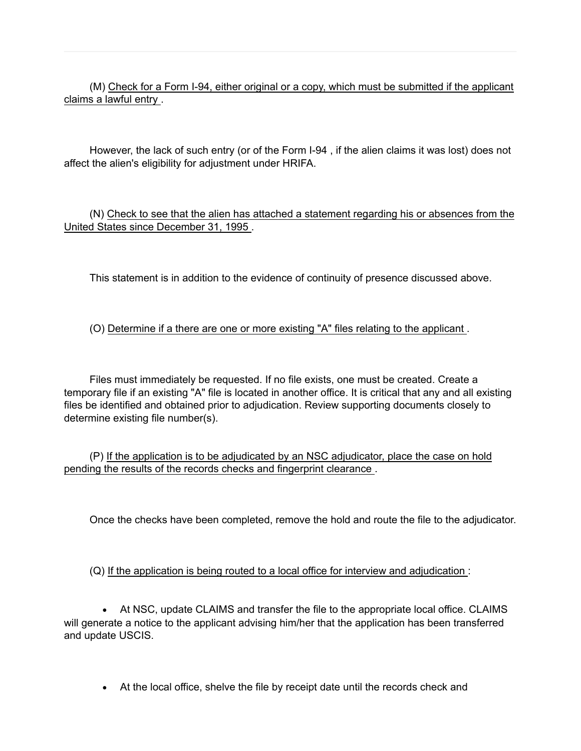(M) Check for a Form I-94, either original or a copy, which must be submitted if the applicant claims a lawful entry .

However, the lack of such entry (or of the Form I-94 , if the alien claims it was lost) does not affect the alien's eligibility for adjustment under HRIFA.

(N) Check to see that the alien has attached a statement regarding his or absences from the United States since December 31, 1995 .

This statement is in addition to the evidence of continuity of presence discussed above.

## (O) Determine if a there are one or more existing "A" files relating to the applicant .

Files must immediately be requested. If no file exists, one must be created. Create a temporary file if an existing "A" file is located in another office. It is critical that any and all existing files be identified and obtained prior to adjudication. Review supporting documents closely to determine existing file number(s).

(P) If the application is to be adjudicated by an NSC adjudicator, place the case on hold pending the results of the records checks and fingerprint clearance .

Once the checks have been completed, remove the hold and route the file to the adjudicator.

(Q) If the application is being routed to a local office for interview and adjudication :

· At NSC, update CLAIMS and transfer the file to the appropriate local office. CLAIMS will generate a notice to the applicant advising him/her that the application has been transferred and update USCIS.

· At the local office, shelve the file by receipt date until the records check and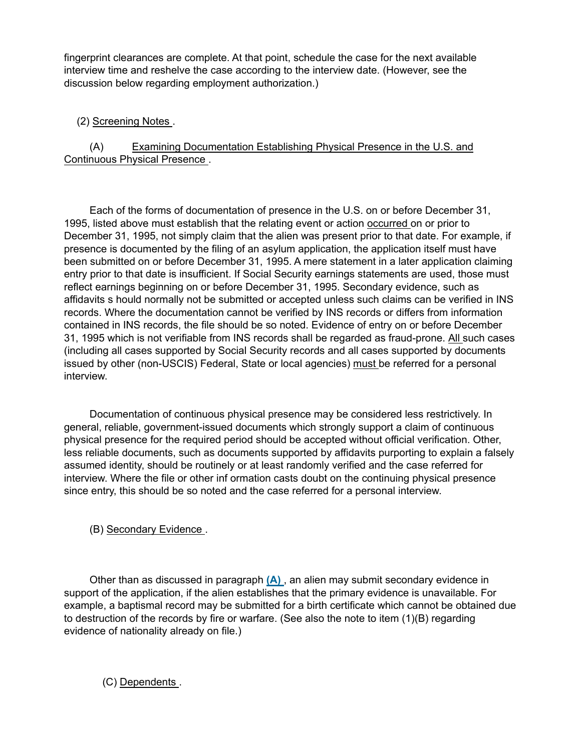fingerprint clearances are complete. At that point, schedule the case for the next available interview time and reshelve the case according to the interview date. (However, see the discussion below regarding employment authorization.)

## (2) Screening Notes .

(A) Examining Documentation Establishing Physical Presence in the U.S. and Continuous Physical Presence .

Each of the forms of documentation of presence in the U.S. on or before December 31, 1995, listed above must establish that the relating event or action occurred on or prior to December 31, 1995, not simply claim that the alien was present prior to that date. For example, if presence is documented by the filing of an asylum application, the application itself must have been submitted on or before December 31, 1995. A mere statement in a later application claiming entry prior to that date is insufficient. If Social Security earnings statements are used, those must reflect earnings beginning on or before December 31, 1995. Secondary evidence, such as affidavits s hould normally not be submitted or accepted unless such claims can be verified in INS records. Where the documentation cannot be verified by INS records or differs from information contained in INS records, the file should be so noted. Evidence of entry on or before December 31, 1995 which is not verifiable from INS records shall be regarded as fraud-prone. All such cases (including all cases supported by Social Security records and all cases supported by documents issued by other (non-USCIS) Federal, State or local agencies) must be referred for a personal interview.

Documentation of continuous physical presence may be considered less restrictively. In general, reliable, government-issued documents which strongly support a claim of continuous physical presence for the required period should be accepted without official verification. Other, less reliable documents, such as documents supported by affidavits purporting to explain a falsely assumed identity, should be routinely or at least randomly verified and the case referred for interview. Where the file or other inf ormation casts doubt on the continuing physical presence since entry, this should be so noted and the case referred for a personal interview.

(B) Secondary Evidence .

Other than as discussed in paragraph  $(A)$ , an alien may submit secondary evidence in support of the application, if the alien establishes that the primary evidence is unavailable. For example, a baptismal record may be submitted for a birth certificate which cannot be obtained due to destruction of the records by fire or warfare. (See also the note to item (1)(B) regarding evidence of nationality already on file.)

(C) Dependents .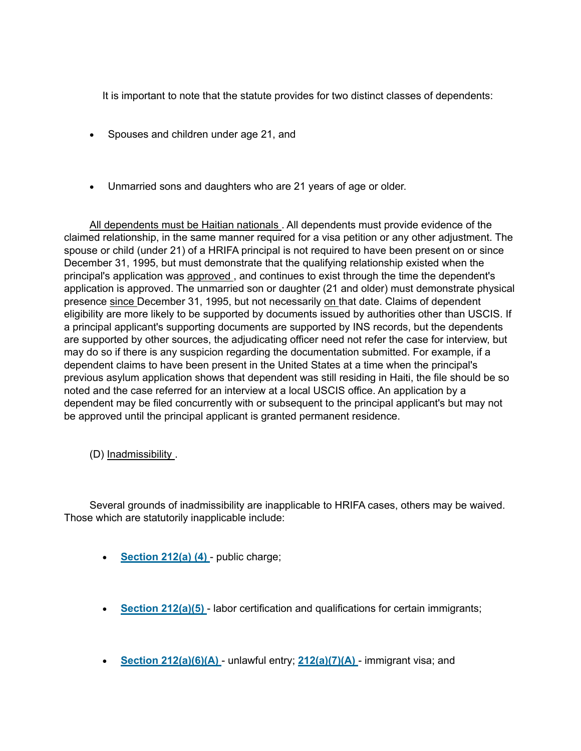It is important to note that the statute provides for two distinct classes of dependents:

- · Spouses and children under age 21, and
- · Unmarried sons and daughters who are 21 years of age or older.

All dependents must be Haitian nationals . All dependents must provide evidence of the claimed relationship, in the same manner required for a visa petition or any other adjustment. The spouse or child (under 21) of a HRIFA principal is not required to have been present on or since December 31, 1995, but must demonstrate that the qualifying relationship existed when the principal's application was approved , and continues to exist through the time the dependent's application is approved. The unmarried son or daughter (21 and older) must demonstrate physical presence since December 31, 1995, but not necessarily on that date. Claims of dependent eligibility are more likely to be supported by documents issued by authorities other than USCIS. If a principal applicant's supporting documents are supported by INS records, but the dependents are supported by other sources, the adjudicating officer need not refer the case for interview, but may do so if there is any suspicion regarding the documentation submitted. For example, if a dependent claims to have been present in the United States at a time when the principal's previous asylum application shows that dependent was still residing in Haiti, the file should be so noted and the case referred for an interview at a local USCIS office. An application by a dependent may be filed concurrently with or subsequent to the principal applicant's but may not be approved until the principal applicant is granted permanent residence.

(D) Inadmissibility .

Several grounds of inadmissibility are inapplicable to HRIFA cases, others may be waived. Those which are statutorily inapplicable include:

- Section  $212(a) (4)$  public charge;
- Section 212(a)(5) labor certification and qualifications for certain immigrants;
- Section 212(a)(6)(A) unlawful entry; 212(a)(7)(A) immigrant visa; and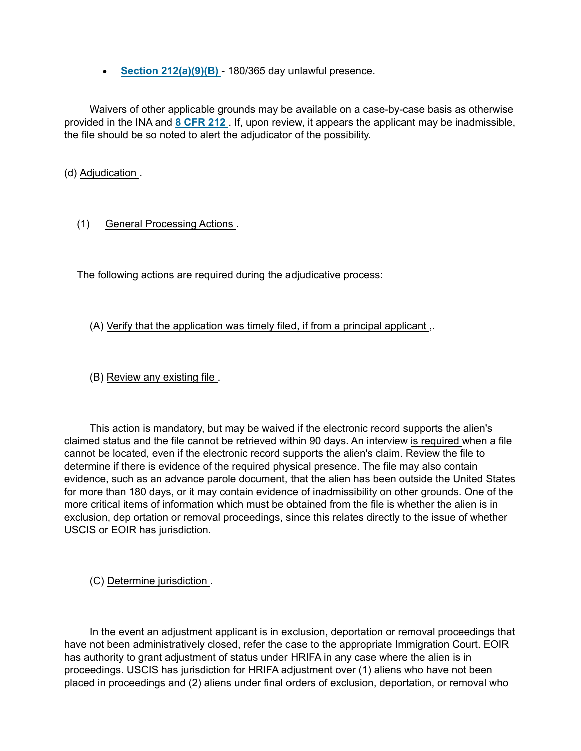• Section  $212(a)(9)(B)$  - 180/365 day unlawful presence.

Waivers of other applicable grounds may be available on a case-by-case basis as otherwise provided in the INA and **8 CFR 212**. If, upon review, it appears the applicant may be inadmissible, the file should be so noted to alert the adjudicator of the possibility.

(d) Adjudication .

## (1) General Processing Actions .

The following actions are required during the adjudicative process:

- (A) Verify that the application was timely filed, if from a principal applicant ,.
- (B) Review any existing file .

This action is mandatory, but may be waived if the electronic record supports the alien's claimed status and the file cannot be retrieved within 90 days. An interview is required when a file cannot be located, even if the electronic record supports the alien's claim. Review the file to determine if there is evidence of the required physical presence. The file may also contain evidence, such as an advance parole document, that the alien has been outside the United States for more than 180 days, or it may contain evidence of inadmissibility on other grounds. One of the more critical items of information which must be obtained from the file is whether the alien is in exclusion, dep ortation or removal proceedings, since this relates directly to the issue of whether USCIS or EOIR has jurisdiction.

(C) Determine jurisdiction .

In the event an adjustment applicant is in exclusion, deportation or removal proceedings that have not been administratively closed, refer the case to the appropriate Immigration Court. EOIR has authority to grant adjustment of status under HRIFA in any case where the alien is in proceedings. USCIS has jurisdiction for HRIFA adjustment over (1) aliens who have not been placed in proceedings and (2) aliens under final orders of exclusion, deportation, or removal who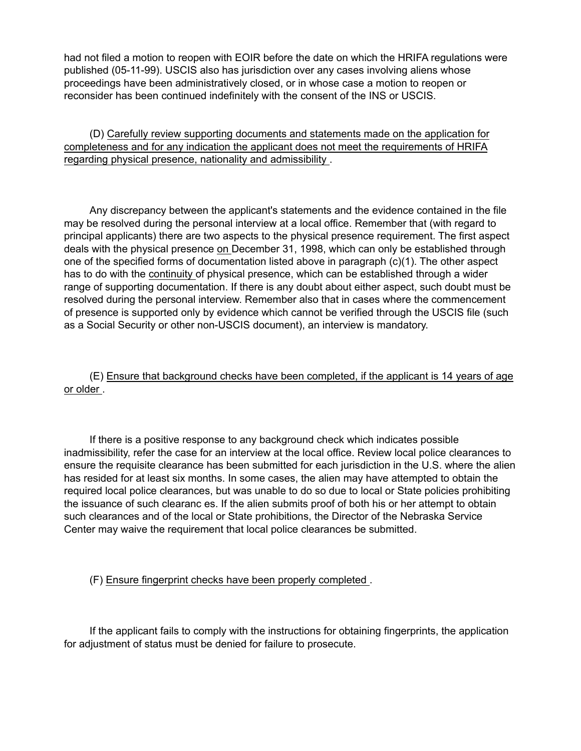had not filed a motion to reopen with EOIR before the date on which the HRIFA regulations were published (05-11-99). USCIS also has jurisdiction over any cases involving aliens whose proceedings have been administratively closed, or in whose case a motion to reopen or reconsider has been continued indefinitely with the consent of the INS or USCIS.

(D) Carefully review supporting documents and statements made on the application for completeness and for any indication the applicant does not meet the requirements of HRIFA regarding physical presence, nationality and admissibility .

Any discrepancy between the applicant's statements and the evidence contained in the file may be resolved during the personal interview at a local office. Remember that (with regard to principal applicants) there are two aspects to the physical presence requirement. The first aspect deals with the physical presence on December 31, 1998, which can only be established through one of the specified forms of documentation listed above in paragraph (c)(1). The other aspect has to do with the continuity of physical presence, which can be established through a wider range of supporting documentation. If there is any doubt about either aspect, such doubt must be resolved during the personal interview. Remember also that in cases where the commencement of presence is supported only by evidence which cannot be verified through the USCIS file (such as a Social Security or other non-USCIS document), an interview is mandatory.

(E) Ensure that background checks have been completed, if the applicant is 14 years of age or older .

If there is a positive response to any background check which indicates possible inadmissibility, refer the case for an interview at the local office. Review local police clearances to ensure the requisite clearance has been submitted for each jurisdiction in the U.S. where the alien has resided for at least six months. In some cases, the alien may have attempted to obtain the required local police clearances, but was unable to do so due to local or State policies prohibiting the issuance of such clearanc es. If the alien submits proof of both his or her attempt to obtain such clearances and of the local or State prohibitions, the Director of the Nebraska Service Center may waive the requirement that local police clearances be submitted.

(F) Ensure fingerprint checks have been properly completed .

If the applicant fails to comply with the instructions for obtaining fingerprints, the application for adjustment of status must be denied for failure to prosecute.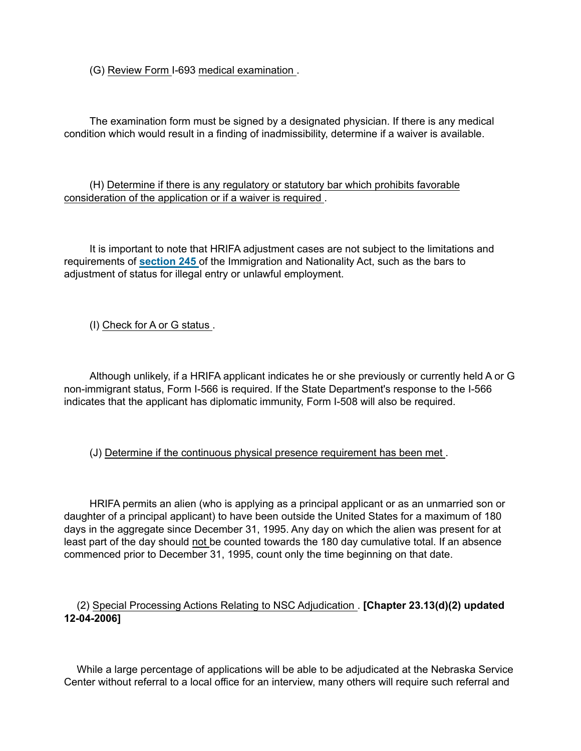(G) Review Form I-693 medical examination .

The examination form must be signed by a designated physician. If there is any medical condition which would result in a finding of inadmissibility, determine if a waiver is available.

(H) Determine if there is any regulatory or statutory bar which prohibits favorable consideration of the application or if a waiver is required .

It is important to note that HRIFA adjustment cases are not subject to the limitations and requirements of section 245 of the Immigration and Nationality Act, such as the bars to adjustment of status for illegal entry or unlawful employment.

(I) Check for A or G status .

Although unlikely, if a HRIFA applicant indicates he or she previously or currently held A or G non-immigrant status, Form I-566 is required. If the State Department's response to the I-566 indicates that the applicant has diplomatic immunity, Form I-508 will also be required.

## (J) Determine if the continuous physical presence requirement has been met .

HRIFA permits an alien (who is applying as a principal applicant or as an unmarried son or daughter of a principal applicant) to have been outside the United States for a maximum of 180 days in the aggregate since December 31, 1995. Any day on which the alien was present for at least part of the day should not be counted towards the 180 day cumulative total. If an absence commenced prior to December 31, 1995, count only the time beginning on that date.

(2) Special Processing Actions Relating to NSC Adjudication . [Chapter 23.13(d)(2) updated 12-04-2006]

While a large percentage of applications will be able to be adjudicated at the Nebraska Service Center without referral to a local office for an interview, many others will require such referral and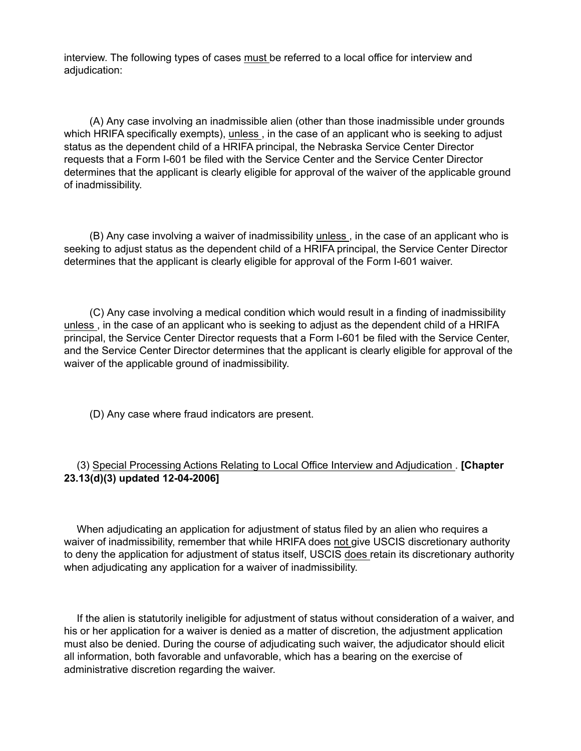interview. The following types of cases must be referred to a local office for interview and adjudication:

(A) Any case involving an inadmissible alien (other than those inadmissible under grounds which HRIFA specifically exempts), unless , in the case of an applicant who is seeking to adjust status as the dependent child of a HRIFA principal, the Nebraska Service Center Director requests that a Form I-601 be filed with the Service Center and the Service Center Director determines that the applicant is clearly eligible for approval of the waiver of the applicable ground of inadmissibility.

(B) Any case involving a waiver of inadmissibility unless , in the case of an applicant who is seeking to adjust status as the dependent child of a HRIFA principal, the Service Center Director determines that the applicant is clearly eligible for approval of the Form I-601 waiver.

(C) Any case involving a medical condition which would result in a finding of inadmissibility unless , in the case of an applicant who is seeking to adjust as the dependent child of a HRIFA principal, the Service Center Director requests that a Form I-601 be filed with the Service Center, and the Service Center Director determines that the applicant is clearly eligible for approval of the waiver of the applicable ground of inadmissibility.

(D) Any case where fraud indicators are present.

## (3) Special Processing Actions Relating to Local Office Interview and Adjudication . [Chapter 23.13(d)(3) updated 12-04-2006]

When adjudicating an application for adjustment of status filed by an alien who requires a waiver of inadmissibility, remember that while HRIFA does not give USCIS discretionary authority to deny the application for adjustment of status itself, USCIS does retain its discretionary authority when adjudicating any application for a waiver of inadmissibility.

If the alien is statutorily ineligible for adjustment of status without consideration of a waiver, and his or her application for a waiver is denied as a matter of discretion, the adjustment application must also be denied. During the course of adjudicating such waiver, the adjudicator should elicit all information, both favorable and unfavorable, which has a bearing on the exercise of administrative discretion regarding the waiver.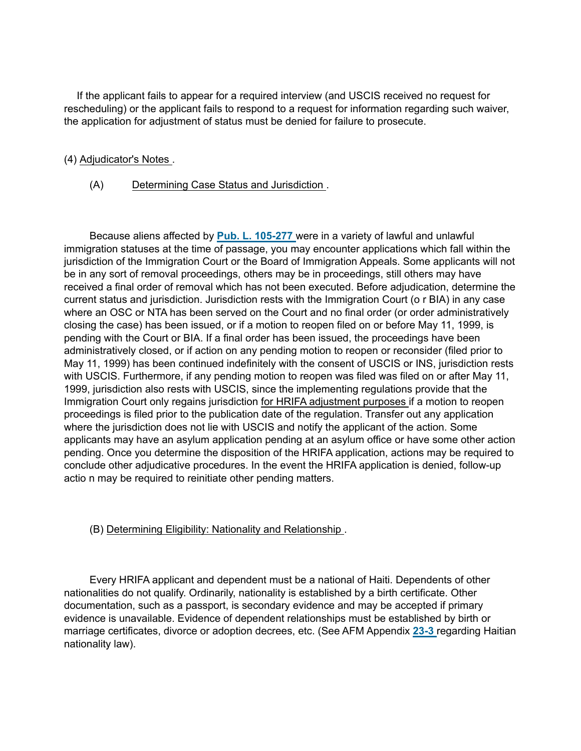If the applicant fails to appear for a required interview (and USCIS received no request for rescheduling) or the applicant fails to respond to a request for information regarding such waiver, the application for adjustment of status must be denied for failure to prosecute.

### (4) Adjudicator's Notes .

#### (A) Determining Case Status and Jurisdiction .

Because aliens affected by **Pub. L. 105-277** were in a variety of lawful and unlawful immigration statuses at the time of passage, you may encounter applications which fall within the jurisdiction of the Immigration Court or the Board of Immigration Appeals. Some applicants will not be in any sort of removal proceedings, others may be in proceedings, still others may have received a final order of removal which has not been executed. Before adjudication, determine the current status and jurisdiction. Jurisdiction rests with the Immigration Court (o r BIA) in any case where an OSC or NTA has been served on the Court and no final order (or order administratively closing the case) has been issued, or if a motion to reopen filed on or before May 11, 1999, is pending with the Court or BIA. If a final order has been issued, the proceedings have been administratively closed, or if action on any pending motion to reopen or reconsider (filed prior to May 11, 1999) has been continued indefinitely with the consent of USCIS or INS, jurisdiction rests with USCIS. Furthermore, if any pending motion to reopen was filed was filed on or after May 11, 1999, jurisdiction also rests with USCIS, since the implementing regulations provide that the Immigration Court only regains jurisdiction for HRIFA adjustment purposes if a motion to reopen proceedings is filed prior to the publication date of the regulation. Transfer out any application where the jurisdiction does not lie with USCIS and notify the applicant of the action. Some applicants may have an asylum application pending at an asylum office or have some other action pending. Once you determine the disposition of the HRIFA application, actions may be required to conclude other adjudicative procedures. In the event the HRIFA application is denied, follow-up actio n may be required to reinitiate other pending matters.

## (B) Determining Eligibility: Nationality and Relationship .

Every HRIFA applicant and dependent must be a national of Haiti. Dependents of other nationalities do not qualify. Ordinarily, nationality is established by a birth certificate. Other documentation, such as a passport, is secondary evidence and may be accepted if primary evidence is unavailable. Evidence of dependent relationships must be established by birth or marriage certificates, divorce or adoption decrees, etc. (See AFM Appendix 23-3 regarding Haitian nationality law).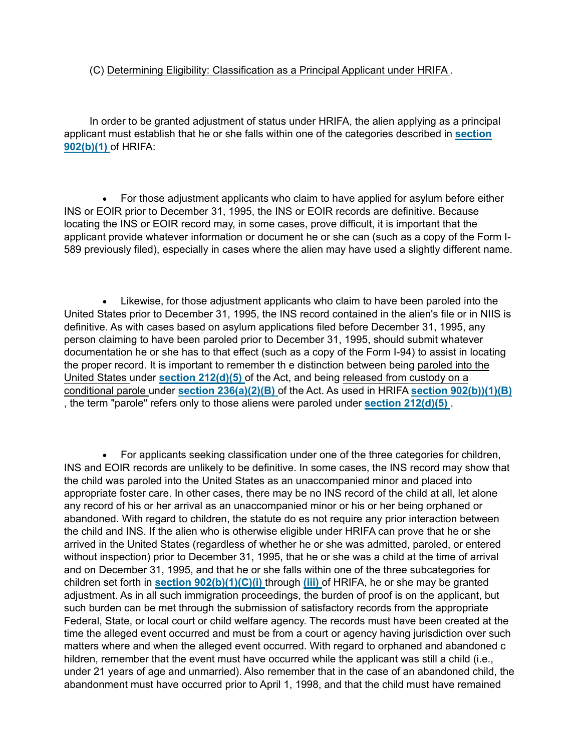#### (C) Determining Eligibility: Classification as a Principal Applicant under HRIFA .

In order to be granted adjustment of status under HRIFA, the alien applying as a principal applicant must establish that he or she falls within one of the categories described in section 902(b)(1) of HRIFA:

· For those adjustment applicants who claim to have applied for asylum before either INS or EOIR prior to December 31, 1995, the INS or EOIR records are definitive. Because locating the INS or EOIR record may, in some cases, prove difficult, it is important that the applicant provide whatever information or document he or she can (such as a copy of the Form I-589 previously filed), especially in cases where the alien may have used a slightly different name.

· Likewise, for those adjustment applicants who claim to have been paroled into the United States prior to December 31, 1995, the INS record contained in the alien's file or in NIIS is definitive. As with cases based on asylum applications filed before December 31, 1995, any person claiming to have been paroled prior to December 31, 1995, should submit whatever documentation he or she has to that effect (such as a copy of the Form I-94) to assist in locating the proper record. It is important to remember th e distinction between being paroled into the United States under **section 212(d)(5)** of the Act, and being released from custody on a conditional parole under section 236(a)(2)(B) of the Act. As used in HRIFA section 902(b))(1)(B) , the term "parole" refers only to those aliens were paroled under **section 212(d)(5)**.

· For applicants seeking classification under one of the three categories for children, INS and EOIR records are unlikely to be definitive. In some cases, the INS record may show that the child was paroled into the United States as an unaccompanied minor and placed into appropriate foster care. In other cases, there may be no INS record of the child at all, let alone any record of his or her arrival as an unaccompanied minor or his or her being orphaned or abandoned. With regard to children, the statute do es not require any prior interaction between the child and INS. If the alien who is otherwise eligible under HRIFA can prove that he or she arrived in the United States (regardless of whether he or she was admitted, paroled, or entered without inspection) prior to December 31, 1995, that he or she was a child at the time of arrival and on December 31, 1995, and that he or she falls within one of the three subcategories for children set forth in **section 902(b)(1)(C)(i)** through (iii) of HRIFA, he or she may be granted adjustment. As in all such immigration proceedings, the burden of proof is on the applicant, but such burden can be met through the submission of satisfactory records from the appropriate Federal, State, or local court or child welfare agency. The records must have been created at the time the alleged event occurred and must be from a court or agency having jurisdiction over such matters where and when the alleged event occurred. With regard to orphaned and abandoned c hildren, remember that the event must have occurred while the applicant was still a child (i.e., under 21 years of age and unmarried). Also remember that in the case of an abandoned child, the abandonment must have occurred prior to April 1, 1998, and that the child must have remained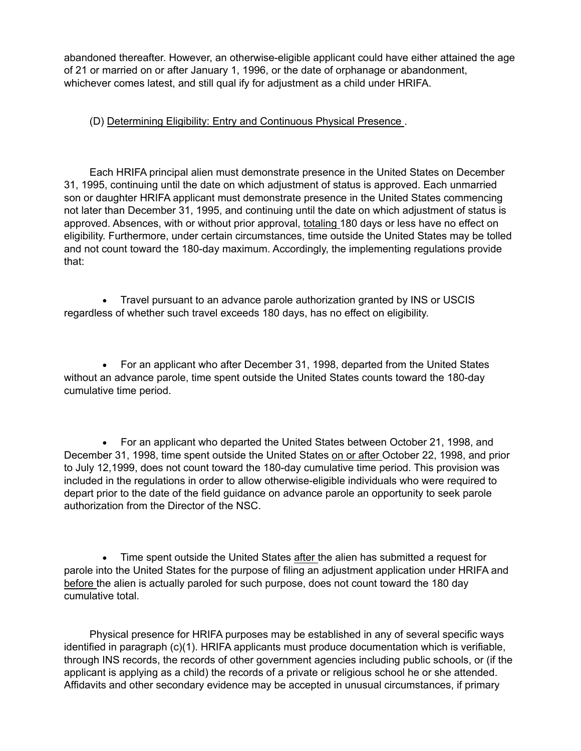abandoned thereafter. However, an otherwise-eligible applicant could have either attained the age of 21 or married on or after January 1, 1996, or the date of orphanage or abandonment, whichever comes latest, and still qual ify for adjustment as a child under HRIFA.

# (D) Determining Eligibility: Entry and Continuous Physical Presence .

Each HRIFA principal alien must demonstrate presence in the United States on December 31, 1995, continuing until the date on which adjustment of status is approved. Each unmarried son or daughter HRIFA applicant must demonstrate presence in the United States commencing not later than December 31, 1995, and continuing until the date on which adjustment of status is approved. Absences, with or without prior approval, totaling 180 days or less have no effect on eligibility. Furthermore, under certain circumstances, time outside the United States may be tolled and not count toward the 180-day maximum. Accordingly, the implementing regulations provide that:

· Travel pursuant to an advance parole authorization granted by INS or USCIS regardless of whether such travel exceeds 180 days, has no effect on eligibility.

· For an applicant who after December 31, 1998, departed from the United States without an advance parole, time spent outside the United States counts toward the 180-day cumulative time period.

· For an applicant who departed the United States between October 21, 1998, and December 31, 1998, time spent outside the United States on or after October 22, 1998, and prior to July 12,1999, does not count toward the 180-day cumulative time period. This provision was included in the regulations in order to allow otherwise-eligible individuals who were required to depart prior to the date of the field guidance on advance parole an opportunity to seek parole authorization from the Director of the NSC.

· Time spent outside the United States after the alien has submitted a request for parole into the United States for the purpose of filing an adjustment application under HRIFA and before the alien is actually paroled for such purpose, does not count toward the 180 day cumulative total.

Physical presence for HRIFA purposes may be established in any of several specific ways identified in paragraph (c)(1). HRIFA applicants must produce documentation which is verifiable, through INS records, the records of other government agencies including public schools, or (if the applicant is applying as a child) the records of a private or religious school he or she attended. Affidavits and other secondary evidence may be accepted in unusual circumstances, if primary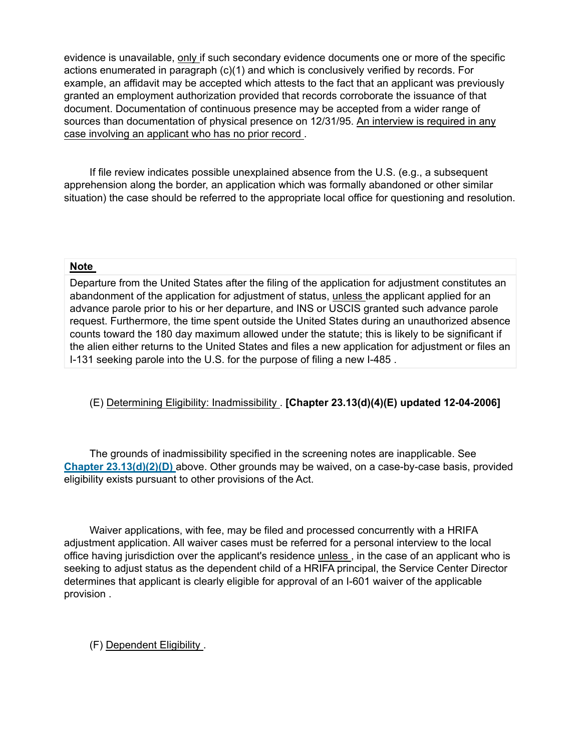evidence is unavailable, only if such secondary evidence documents one or more of the specific actions enumerated in paragraph (c)(1) and which is conclusively verified by records. For example, an affidavit may be accepted which attests to the fact that an applicant was previously granted an employment authorization provided that records corroborate the issuance of that document. Documentation of continuous presence may be accepted from a wider range of sources than documentation of physical presence on 12/31/95. An interview is required in any case involving an applicant who has no prior record .

If file review indicates possible unexplained absence from the U.S. (e.g., a subsequent apprehension along the border, an application which was formally abandoned or other similar situation) the case should be referred to the appropriate local office for questioning and resolution.

### Note

Departure from the United States after the filing of the application for adjustment constitutes an abandonment of the application for adjustment of status, unless the applicant applied for an advance parole prior to his or her departure, and INS or USCIS granted such advance parole request. Furthermore, the time spent outside the United States during an unauthorized absence counts toward the 180 day maximum allowed under the statute; this is likely to be significant if the alien either returns to the United States and files a new application for adjustment or files an I-131 seeking parole into the U.S. for the purpose of filing a new I-485 .

# (E) Determining Eligibility: Inadmissibility . [Chapter 23.13(d)(4)(E) updated 12-04-2006]

The grounds of inadmissibility specified in the screening notes are inapplicable. See Chapter 23.13(d)(2)(D) above. Other grounds may be waived, on a case-by-case basis, provided eligibility exists pursuant to other provisions of the Act.

Waiver applications, with fee, may be filed and processed concurrently with a HRIFA adjustment application. All waiver cases must be referred for a personal interview to the local office having jurisdiction over the applicant's residence unless, in the case of an applicant who is seeking to adjust status as the dependent child of a HRIFA principal, the Service Center Director determines that applicant is clearly eligible for approval of an I-601 waiver of the applicable provision .

(F) Dependent Eligibility .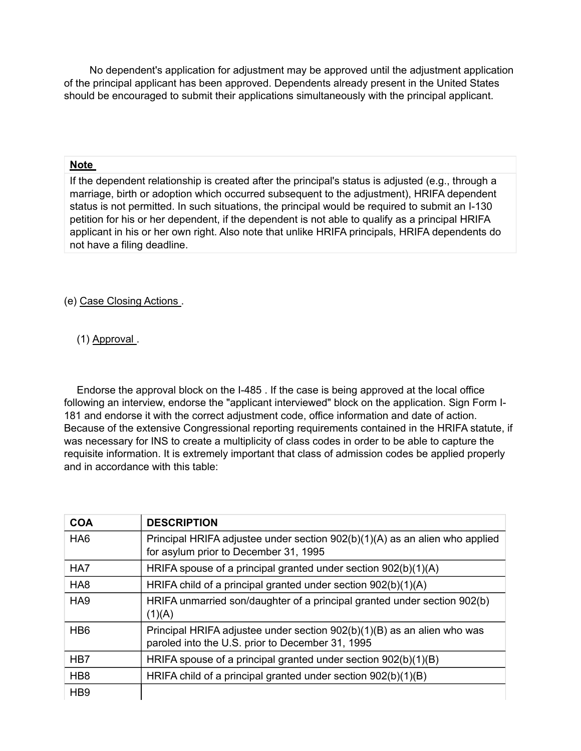No dependent's application for adjustment may be approved until the adjustment application of the principal applicant has been approved. Dependents already present in the United States should be encouraged to submit their applications simultaneously with the principal applicant.

### Note

If the dependent relationship is created after the principal's status is adjusted (e.g., through a marriage, birth or adoption which occurred subsequent to the adjustment), HRIFA dependent status is not permitted. In such situations, the principal would be required to submit an I-130 petition for his or her dependent, if the dependent is not able to qualify as a principal HRIFA applicant in his or her own right. Also note that unlike HRIFA principals, HRIFA dependents do not have a filing deadline.

(e) Case Closing Actions .

(1) Approval .

Endorse the approval block on the I-485 . If the case is being approved at the local office following an interview, endorse the "applicant interviewed" block on the application. Sign Form I-181 and endorse it with the correct adjustment code, office information and date of action. Because of the extensive Congressional reporting requirements contained in the HRIFA statute, if was necessary for INS to create a multiplicity of class codes in order to be able to capture the requisite information. It is extremely important that class of admission codes be applied properly and in accordance with this table:

| <b>COA</b>       | <b>DESCRIPTION</b>                                                                                                          |
|------------------|-----------------------------------------------------------------------------------------------------------------------------|
| HA <sub>6</sub>  | Principal HRIFA adjustee under section 902(b)(1)(A) as an alien who applied<br>for asylum prior to December 31, 1995        |
| HA7              | HRIFA spouse of a principal granted under section 902(b)(1)(A)                                                              |
| HA <sub>8</sub>  | HRIFA child of a principal granted under section 902(b)(1)(A)                                                               |
| HA <sub>9</sub>  | HRIFA unmarried son/daughter of a principal granted under section 902(b)<br>(1)(A)                                          |
| H <sub>B6</sub>  | Principal HRIFA adjustee under section 902(b)(1)(B) as an alien who was<br>paroled into the U.S. prior to December 31, 1995 |
| H <sub>B</sub> 7 | HRIFA spouse of a principal granted under section 902(b)(1)(B)                                                              |
| H <sub>B</sub> 8 | HRIFA child of a principal granted under section 902(b)(1)(B)                                                               |
| H <sub>B9</sub>  |                                                                                                                             |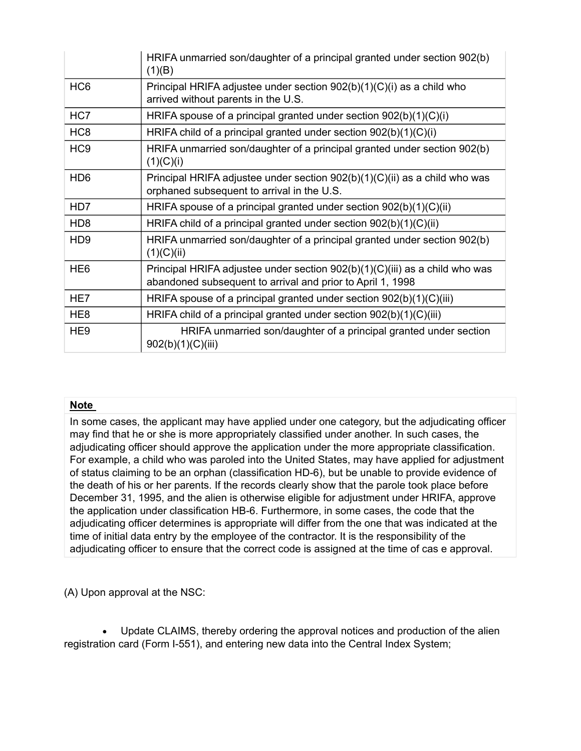|                             | HRIFA unmarried son/daughter of a principal granted under section 902(b)<br>(1)(B)                                                        |
|-----------------------------|-------------------------------------------------------------------------------------------------------------------------------------------|
| HC <sub>6</sub>             | Principal HRIFA adjustee under section 902(b)(1)(C)(i) as a child who<br>arrived without parents in the U.S.                              |
| HC7                         | HRIFA spouse of a principal granted under section 902(b)(1)(C)(i)                                                                         |
| HC <sub>8</sub>             | HRIFA child of a principal granted under section 902(b)(1)(C)(i)                                                                          |
| HC <sub>9</sub>             | HRIFA unmarried son/daughter of a principal granted under section 902(b)<br>(1)(C)(i)                                                     |
| HD <sub>6</sub>             | Principal HRIFA adjustee under section 902(b)(1)(C)(ii) as a child who was<br>orphaned subsequent to arrival in the U.S.                  |
| HD7                         | HRIFA spouse of a principal granted under section $902(b)(1)(C)(ii)$                                                                      |
| HD <sub>8</sub>             | HRIFA child of a principal granted under section $902(b)(1)(C)(ii)$                                                                       |
| H <sub>D</sub> <sub>9</sub> | HRIFA unmarried son/daughter of a principal granted under section 902(b)<br>(1)(C)(ii)                                                    |
| HE <sub>6</sub>             | Principal HRIFA adjustee under section 902(b)(1)(C)(iii) as a child who was<br>abandoned subsequent to arrival and prior to April 1, 1998 |
| HE7                         | HRIFA spouse of a principal granted under section $902(b)(1)(C)(iii)$                                                                     |
| HE <sub>8</sub>             | HRIFA child of a principal granted under section $902(b)(1)(C)(iii)$                                                                      |
| HE <sub>9</sub>             | HRIFA unmarried son/daughter of a principal granted under section<br>902(b)(1)(C)(iii)                                                    |

## Note

In some cases, the applicant may have applied under one category, but the adjudicating officer may find that he or she is more appropriately classified under another. In such cases, the adjudicating officer should approve the application under the more appropriate classification. For example, a child who was paroled into the United States, may have applied for adjustment of status claiming to be an orphan (classification HD-6), but be unable to provide evidence of the death of his or her parents. If the records clearly show that the parole took place before December 31, 1995, and the alien is otherwise eligible for adjustment under HRIFA, approve the application under classification HB-6. Furthermore, in some cases, the code that the adjudicating officer determines is appropriate will differ from the one that was indicated at the time of initial data entry by the employee of the contractor. It is the responsibility of the adjudicating officer to ensure that the correct code is assigned at the time of cas e approval.

(A) Upon approval at the NSC:

· Update CLAIMS, thereby ordering the approval notices and production of the alien registration card (Form I-551), and entering new data into the Central Index System;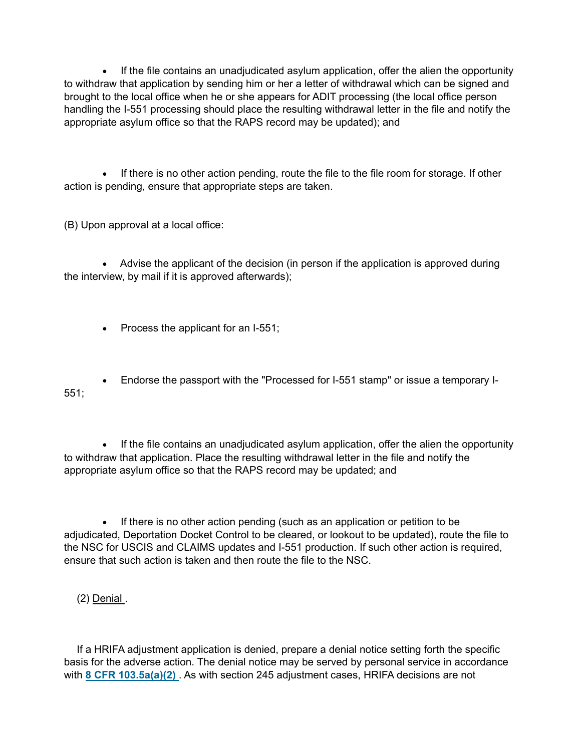· If the file contains an unadjudicated asylum application, offer the alien the opportunity to withdraw that application by sending him or her a letter of withdrawal which can be signed and brought to the local office when he or she appears for ADIT processing (the local office person handling the I-551 processing should place the resulting withdrawal letter in the file and notify the appropriate asylum office so that the RAPS record may be updated); and

· If there is no other action pending, route the file to the file room for storage. If other action is pending, ensure that appropriate steps are taken.

(B) Upon approval at a local office:

· Advise the applicant of the decision (in person if the application is approved during the interview, by mail if it is approved afterwards);

· Process the applicant for an I-551;

· Endorse the passport with the "Processed for I-551 stamp" or issue a temporary I-551;

· If the file contains an unadjudicated asylum application, offer the alien the opportunity to withdraw that application. Place the resulting withdrawal letter in the file and notify the appropriate asylum office so that the RAPS record may be updated; and

· If there is no other action pending (such as an application or petition to be adjudicated, Deportation Docket Control to be cleared, or lookout to be updated), route the file to the NSC for USCIS and CLAIMS updates and I-551 production. If such other action is required, ensure that such action is taken and then route the file to the NSC.

 $(2)$  Denial.

If a HRIFA adjustment application is denied, prepare a denial notice setting forth the specific basis for the adverse action. The denial notice may be served by personal service in accordance with 8 CFR 103.5a(a)(2) . As with section 245 adjustment cases, HRIFA decisions are not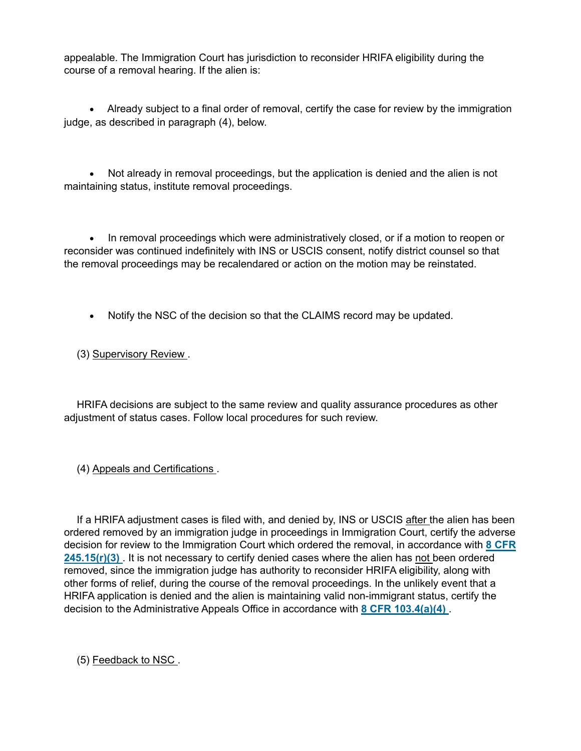appealable. The Immigration Court has jurisdiction to reconsider HRIFA eligibility during the course of a removal hearing. If the alien is:

· Already subject to a final order of removal, certify the case for review by the immigration judge, as described in paragraph (4), below.

Not already in removal proceedings, but the application is denied and the alien is not maintaining status, institute removal proceedings.

In removal proceedings which were administratively closed, or if a motion to reopen or reconsider was continued indefinitely with INS or USCIS consent, notify district counsel so that the removal proceedings may be recalendared or action on the motion may be reinstated.

· Notify the NSC of the decision so that the CLAIMS record may be updated.

(3) Supervisory Review .

HRIFA decisions are subject to the same review and quality assurance procedures as other adjustment of status cases. Follow local procedures for such review.

(4) Appeals and Certifications .

If a HRIFA adjustment cases is filed with, and denied by, INS or USCIS after the alien has been ordered removed by an immigration judge in proceedings in Immigration Court, certify the adverse decision for review to the Immigration Court which ordered the removal, in accordance with 8 CFR  $245.15(r)(3)$ . It is not necessary to certify denied cases where the alien has not been ordered removed, since the immigration judge has authority to reconsider HRIFA eligibility, along with other forms of relief, during the course of the removal proceedings. In the unlikely event that a HRIFA application is denied and the alien is maintaining valid non-immigrant status, certify the decision to the Administrative Appeals Office in accordance with  $8$  CFR 103.4(a)(4).

(5) Feedback to NSC .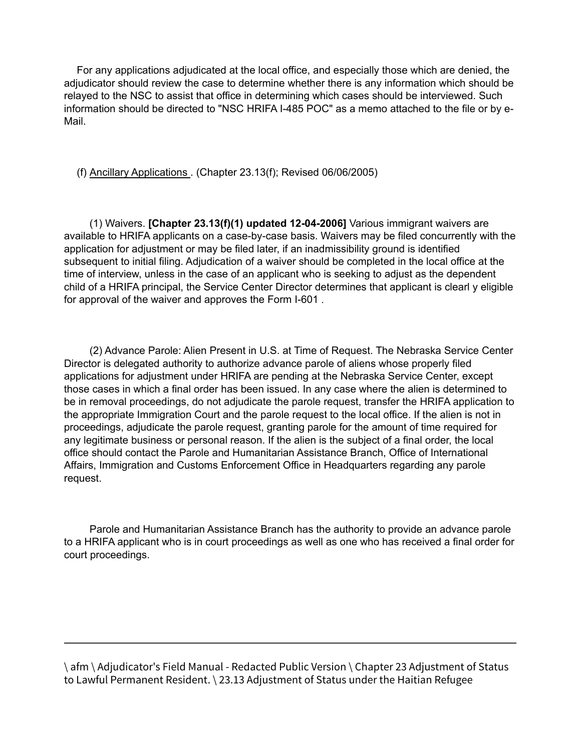For any applications adjudicated at the local office, and especially those which are denied, the adjudicator should review the case to determine whether there is any information which should be relayed to the NSC to assist that office in determining which cases should be interviewed. Such information should be directed to "NSC HRIFA I-485 POC" as a memo attached to the file or by e-Mail.

(f) Ancillary Applications . (Chapter 23.13(f); Revised 06/06/2005)

(1) Waivers. [Chapter 23.13(f)(1) updated 12-04-2006] Various immigrant waivers are available to HRIFA applicants on a case-by-case basis. Waivers may be filed concurrently with the application for adjustment or may be filed later, if an inadmissibility ground is identified subsequent to initial filing. Adjudication of a waiver should be completed in the local office at the time of interview, unless in the case of an applicant who is seeking to adjust as the dependent child of a HRIFA principal, the Service Center Director determines that applicant is clearl y eligible for approval of the waiver and approves the Form I-601 .

(2) Advance Parole: Alien Present in U.S. at Time of Request. The Nebraska Service Center Director is delegated authority to authorize advance parole of aliens whose properly filed applications for adjustment under HRIFA are pending at the Nebraska Service Center, except those cases in which a final order has been issued. In any case where the alien is determined to be in removal proceedings, do not adjudicate the parole request, transfer the HRIFA application to the appropriate Immigration Court and the parole request to the local office. If the alien is not in proceedings, adjudicate the parole request, granting parole for the amount of time required for any legitimate business or personal reason. If the alien is the subject of a final order, the local office should contact the Parole and Humanitarian Assistance Branch, Office of International Affairs, Immigration and Customs Enforcement Office in Headquarters regarding any parole request.

Parole and Humanitarian Assistance Branch has the authority to provide an advance parole to a HRIFA applicant who is in court proceedings as well as one who has received a final order for court proceedings.

\ afm \ Adjudicator's Field Manual - Redacted Public Version \ Chapter 23 Adjustment of Status to Lawful Permanent Resident. \ 23.13 Adjustment of Status under the Haitian Refugee